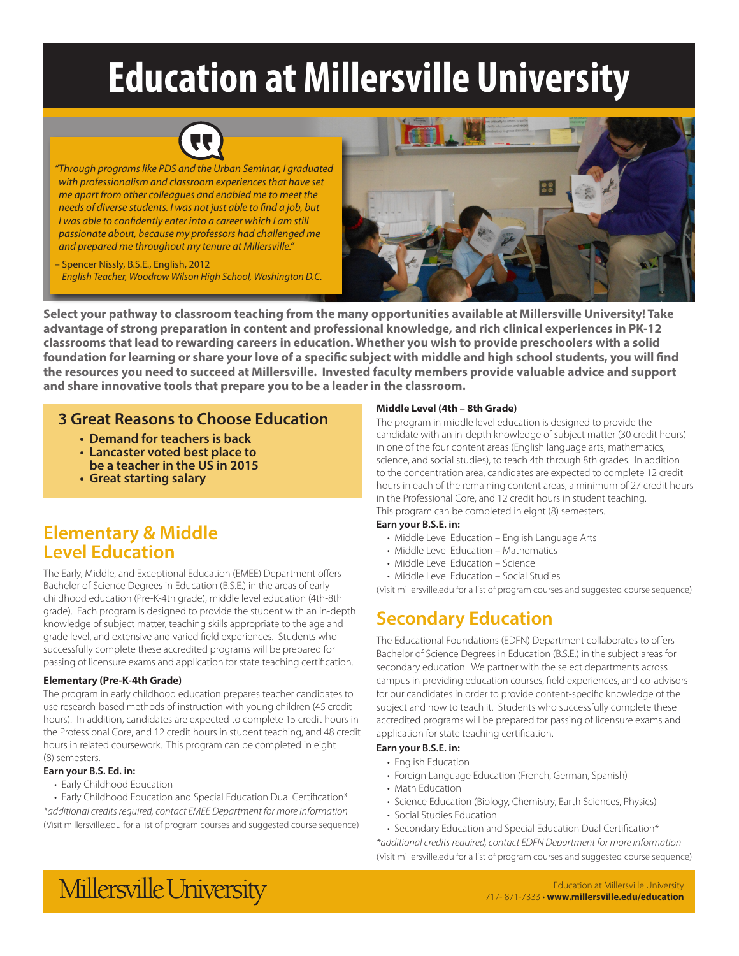# **Education at Millersville University**



*"Through programs like PDS and the Urban Seminar, I graduated with professionalism and classroom experiences that have set me apart from other colleagues and enabled me to meet the needs of diverse students. I was not just able to find a job, but I was able to confidently enter into a career which I am still passionate about, because my professors had challenged me and prepared me throughout my tenure at Millersville."*

– Spencer Nissly, B.S.E., English, 2012 *English Teacher, Woodrow Wilson High School, Washington D.C.*



**Select your pathway to classroom teaching from the many opportunities available at Millersville University! Take advantage of strong preparation in content and professional knowledge, and rich clinical experiences in PK-12 classrooms that lead to rewarding careers in education. Whether you wish to provide preschoolers with a solid foundation for learning or share your love of a specific subject with middle and high school students, you will find the resources you need to succeed at Millersville. Invested faculty members provide valuable advice and support and share innovative tools that prepare you to be a leader in the classroom.**

### **3 Great Reasons to Choose Education**

- **Demand for teachers is back**
- **Lancaster voted best place to be a teacher in the US in 2015**
- **Great starting salary**

## **Elementary & Middle Level Education**

The Early, Middle, and Exceptional Education (EMEE) Department offers Bachelor of Science Degrees in Education (B.S.E.) in the areas of early childhood education (Pre-K-4th grade), middle level education (4th-8th grade). Each program is designed to provide the student with an in-depth knowledge of subject matter, teaching skills appropriate to the age and grade level, and extensive and varied field experiences. Students who successfully complete these accredited programs will be prepared for passing of licensure exams and application for state teaching certification.

#### **Elementary (Pre-K-4th Grade)**

The program in early childhood education prepares teacher candidates to use research-based methods of instruction with young children (45 credit hours). In addition, candidates are expected to complete 15 credit hours in the Professional Core, and 12 credit hours in student teaching, and 48 credit hours in related coursework. This program can be completed in eight (8) semesters.

#### **Earn your B.S. Ed. in:**

• Early Childhood Education

• Early Childhood Education and Special Education Dual Certification\* *\*additional credits required, contact EMEE Department for more information* (Visit millersville.edu for a list of program courses and suggested course sequence)

#### **Middle Level (4th – 8th Grade)**

The program in middle level education is designed to provide the candidate with an in-depth knowledge of subject matter (30 credit hours) in one of the four content areas (English language arts, mathematics, science, and social studies), to teach 4th through 8th grades. In addition to the concentration area, candidates are expected to complete 12 credit hours in each of the remaining content areas, a minimum of 27 credit hours in the Professional Core, and 12 credit hours in student teaching. This program can be completed in eight (8) semesters.

#### **Earn your B.S.E. in:**

- Middle Level Education English Language Arts
- Middle Level Education Mathematics
- Middle Level Education Science
- Middle Level Education Social Studies

(Visit millersville.edu for a list of program courses and suggested course sequence)

## **Secondary Education**

The Educational Foundations (EDFN) Department collaborates to offers Bachelor of Science Degrees in Education (B.S.E.) in the subject areas for secondary education. We partner with the select departments across campus in providing education courses, field experiences, and co-advisors for our candidates in order to provide content-specific knowledge of the subject and how to teach it. Students who successfully complete these accredited programs will be prepared for passing of licensure exams and application for state teaching certification.

#### **Earn your B.S.E. in:**

- English Education
- Foreign Language Education (French, German, Spanish)
- Math Education
- Science Education (Biology, Chemistry, Earth Sciences, Physics)
- Social Studies Education

• Secondary Education and Special Education Dual Certification\* *\*additional credits required, contact EDFN Department for more information* (Visit millersville.edu for a list of program courses and suggested course sequence)



Education at Millersville University 717- 871-7333 • **www.millersville.edu/education**